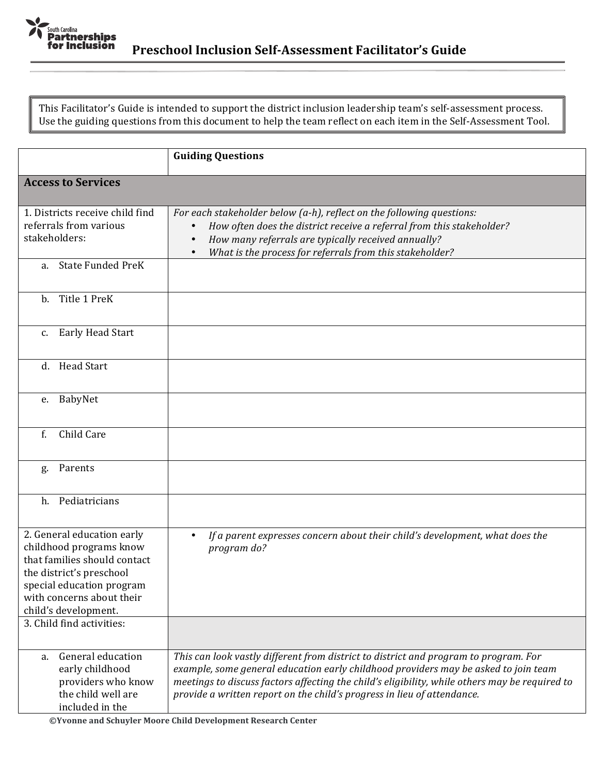

This Facilitator's Guide is intended to support the district inclusion leadership team's self-assessment process. Use the guiding questions from this document to help the team reflect on each item in the Self-Assessment Tool.

|                                                                                                                                                                                                     | <b>Guiding Questions</b>                                                                                                                                                                                                                                                                                                                                 |
|-----------------------------------------------------------------------------------------------------------------------------------------------------------------------------------------------------|----------------------------------------------------------------------------------------------------------------------------------------------------------------------------------------------------------------------------------------------------------------------------------------------------------------------------------------------------------|
| <b>Access to Services</b>                                                                                                                                                                           |                                                                                                                                                                                                                                                                                                                                                          |
| 1. Districts receive child find<br>referrals from various<br>stakeholders:                                                                                                                          | For each stakeholder below (a-h), reflect on the following questions:<br>How often does the district receive a referral from this stakeholder?<br>How many referrals are typically received annually?<br>What is the process for referrals from this stakeholder?                                                                                        |
| <b>State Funded PreK</b><br>a.                                                                                                                                                                      |                                                                                                                                                                                                                                                                                                                                                          |
| b. Title 1 PreK                                                                                                                                                                                     |                                                                                                                                                                                                                                                                                                                                                          |
| <b>Early Head Start</b><br>$c_{\cdot}$                                                                                                                                                              |                                                                                                                                                                                                                                                                                                                                                          |
| d. Head Start                                                                                                                                                                                       |                                                                                                                                                                                                                                                                                                                                                          |
| e. BabyNet                                                                                                                                                                                          |                                                                                                                                                                                                                                                                                                                                                          |
| Child Care<br>f.                                                                                                                                                                                    |                                                                                                                                                                                                                                                                                                                                                          |
| Parents<br>g.                                                                                                                                                                                       |                                                                                                                                                                                                                                                                                                                                                          |
| Pediatricians<br>h.                                                                                                                                                                                 |                                                                                                                                                                                                                                                                                                                                                          |
| 2. General education early<br>childhood programs know<br>that families should contact<br>the district's preschool<br>special education program<br>with concerns about their<br>child's development. | If a parent expresses concern about their child's development, what does the<br>$\bullet$<br>program do?                                                                                                                                                                                                                                                 |
| 3. Child find activities:                                                                                                                                                                           |                                                                                                                                                                                                                                                                                                                                                          |
| General education<br>a.<br>early childhood<br>providers who know<br>the child well are<br>included in the                                                                                           | This can look vastly different from district to district and program to program. For<br>example, some general education early childhood providers may be asked to join team<br>meetings to discuss factors affecting the child's eligibility, while others may be required to<br>provide a written report on the child's progress in lieu of attendance. |

**©Yvonne and Schuyler Moore Child Development Research Center**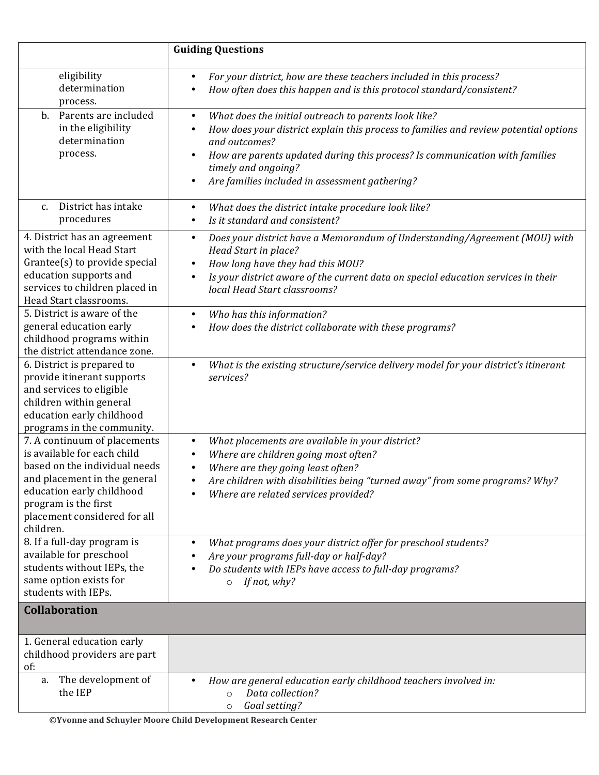|                                                                                                                                                                                                                                | <b>Guiding Questions</b>                                                                                                                                                                                                                                                                                                                          |
|--------------------------------------------------------------------------------------------------------------------------------------------------------------------------------------------------------------------------------|---------------------------------------------------------------------------------------------------------------------------------------------------------------------------------------------------------------------------------------------------------------------------------------------------------------------------------------------------|
| eligibility<br>determination<br>process.                                                                                                                                                                                       | For your district, how are these teachers included in this process?<br>$\bullet$<br>How often does this happen and is this protocol standard/consistent?                                                                                                                                                                                          |
| Parents are included<br>$\mathbf{b}$ .<br>in the eligibility<br>determination<br>process.                                                                                                                                      | What does the initial outreach to parents look like?<br>$\bullet$<br>How does your district explain this process to families and review potential options<br>٠<br>and outcomes?<br>How are parents updated during this process? Is communication with families<br>٠<br>timely and ongoing?<br>Are families included in assessment gathering?<br>٠ |
| District has intake<br>$C_{\cdot}$<br>procedures                                                                                                                                                                               | What does the district intake procedure look like?<br>٠<br>Is it standard and consistent?<br>٠                                                                                                                                                                                                                                                    |
| 4. District has an agreement<br>with the local Head Start<br>Grantee(s) to provide special<br>education supports and<br>services to children placed in<br>Head Start classrooms.                                               | Does your district have a Memorandum of Understanding/Agreement (MOU) with<br>$\bullet$<br>Head Start in place?<br>How long have they had this MOU?<br>٠<br>Is your district aware of the current data on special education services in their<br>$\bullet$<br>local Head Start classrooms?                                                        |
| 5. District is aware of the<br>general education early<br>childhood programs within<br>the district attendance zone.                                                                                                           | Who has this information?<br>$\bullet$<br>How does the district collaborate with these programs?                                                                                                                                                                                                                                                  |
| 6. District is prepared to<br>provide itinerant supports<br>and services to eligible<br>children within general<br>education early childhood<br>programs in the community.                                                     | What is the existing structure/service delivery model for your district's itinerant<br>$\bullet$<br>services?                                                                                                                                                                                                                                     |
| 7. A continuum of placements<br>is available for each child<br>based on the individual needs<br>and placement in the general<br>education early childhood<br>program is the first<br>placement considered for all<br>children. | What placements are available in your district?<br>٠<br>Where are children going most often?<br>$\bullet$<br>Where are they going least often?<br>Are children with disabilities being "turned away" from some programs? Why?<br>Where are related services provided?                                                                             |
| 8. If a full-day program is<br>available for preschool<br>students without IEPs, the<br>same option exists for<br>students with IEPs.                                                                                          | What programs does your district offer for preschool students?<br>٠<br>Are your programs full-day or half-day?<br>Do students with IEPs have access to full-day programs?<br>٠<br>$\circ$ If not, why?                                                                                                                                            |
| <b>Collaboration</b>                                                                                                                                                                                                           |                                                                                                                                                                                                                                                                                                                                                   |
| 1. General education early<br>childhood providers are part<br>of:                                                                                                                                                              |                                                                                                                                                                                                                                                                                                                                                   |
| a. The development of<br>the IEP                                                                                                                                                                                               | How are general education early childhood teachers involved in:<br>$\bullet$<br>Data collection?<br>$\circ$<br>Goal setting?<br>$\circ$                                                                                                                                                                                                           |

**©Yvonne and Schuyler Moore Child Development Research Center**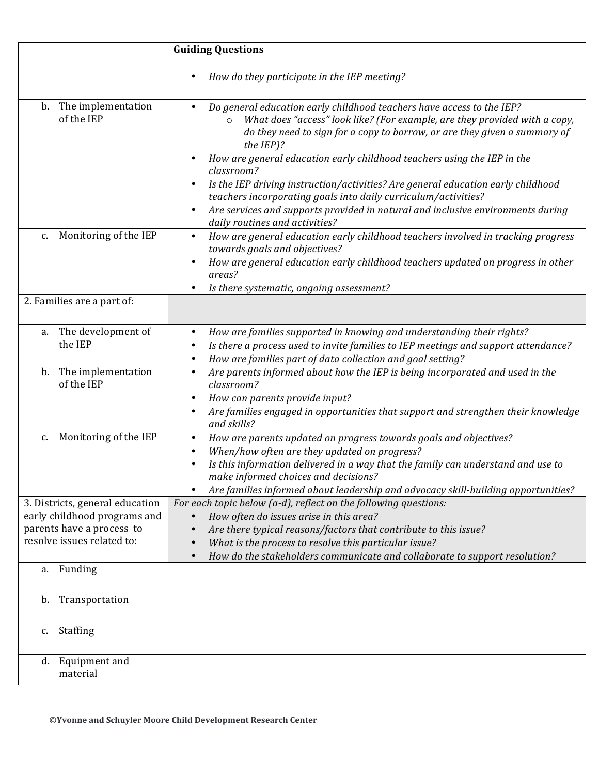|                                                                                                                            | <b>Guiding Questions</b>                                                                                                                                                                                                                                                                                                                                                                                                                                                                                             |
|----------------------------------------------------------------------------------------------------------------------------|----------------------------------------------------------------------------------------------------------------------------------------------------------------------------------------------------------------------------------------------------------------------------------------------------------------------------------------------------------------------------------------------------------------------------------------------------------------------------------------------------------------------|
|                                                                                                                            | How do they participate in the IEP meeting?                                                                                                                                                                                                                                                                                                                                                                                                                                                                          |
| b. The implementation<br>of the IEP                                                                                        | Do general education early childhood teachers have access to the IEP?<br>What does "access" look like? (For example, are they provided with a copy,<br>$\circ$<br>do they need to sign for a copy to borrow, or are they given a summary of<br>the IEP)?<br>How are general education early childhood teachers using the IEP in the<br>classroom?<br>Is the IEP driving instruction/activities? Are general education early childhood<br>$\bullet$<br>teachers incorporating goals into daily curriculum/activities? |
|                                                                                                                            | Are services and supports provided in natural and inclusive environments during<br>٠<br>daily routines and activities?                                                                                                                                                                                                                                                                                                                                                                                               |
| Monitoring of the IEP<br>c.                                                                                                | How are general education early childhood teachers involved in tracking progress<br>$\bullet$<br>towards goals and objectives?<br>How are general education early childhood teachers updated on progress in other<br>areas?<br>Is there systematic, ongoing assessment?                                                                                                                                                                                                                                              |
| 2. Families are a part of:                                                                                                 |                                                                                                                                                                                                                                                                                                                                                                                                                                                                                                                      |
| The development of<br>a.<br>the IEP                                                                                        | How are families supported in knowing and understanding their rights?<br>$\bullet$<br>Is there a process used to invite families to IEP meetings and support attendance?<br>$\bullet$<br>How are families part of data collection and goal setting?<br>$\bullet$                                                                                                                                                                                                                                                     |
| The implementation<br>b.<br>of the IEP                                                                                     | Are parents informed about how the IEP is being incorporated and used in the<br>$\bullet$<br>classroom?<br>How can parents provide input?<br>Are families engaged in opportunities that support and strengthen their knowledge<br>and skills?                                                                                                                                                                                                                                                                        |
| Monitoring of the IEP<br>c.                                                                                                | How are parents updated on progress towards goals and objectives?<br>$\bullet$<br>When/how often are they updated on progress?<br>Is this information delivered in a way that the family can understand and use to<br>make informed choices and decisions?<br>Are families informed about leadership and advocacy skill-building opportunities?<br>$\bullet$                                                                                                                                                         |
| 3. Districts, general education<br>early childhood programs and<br>parents have a process to<br>resolve issues related to: | For each topic below (a-d), reflect on the following questions:<br>How often do issues arise in this area?<br>Are there typical reasons/factors that contribute to this issue?<br>What is the process to resolve this particular issue?<br>How do the stakeholders communicate and collaborate to support resolution?<br>$\bullet$                                                                                                                                                                                   |
| a. Funding                                                                                                                 |                                                                                                                                                                                                                                                                                                                                                                                                                                                                                                                      |
| Transportation<br>b.                                                                                                       |                                                                                                                                                                                                                                                                                                                                                                                                                                                                                                                      |
| Staffing<br>c.                                                                                                             |                                                                                                                                                                                                                                                                                                                                                                                                                                                                                                                      |
| d. Equipment and<br>material                                                                                               |                                                                                                                                                                                                                                                                                                                                                                                                                                                                                                                      |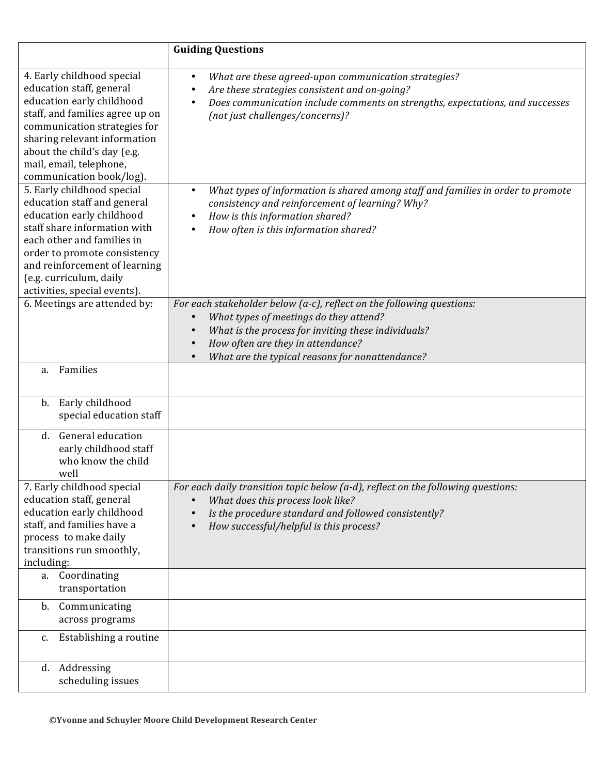|                                                                                                                                                                                                                                                                                  | <b>Guiding Questions</b>                                                                                                                                                                                                                                       |
|----------------------------------------------------------------------------------------------------------------------------------------------------------------------------------------------------------------------------------------------------------------------------------|----------------------------------------------------------------------------------------------------------------------------------------------------------------------------------------------------------------------------------------------------------------|
| 4. Early childhood special<br>education staff, general<br>education early childhood<br>staff, and families agree up on<br>communication strategies for<br>sharing relevant information<br>about the child's day (e.g.<br>mail, email, telephone,<br>communication book/log).     | What are these agreed-upon communication strategies?<br>$\bullet$<br>Are these strategies consistent and on-going?<br>Does communication include comments on strengths, expectations, and successes<br>(not just challenges/concerns)?                         |
| 5. Early childhood special<br>education staff and general<br>education early childhood<br>staff share information with<br>each other and families in<br>order to promote consistency<br>and reinforcement of learning<br>(e.g. curriculum, daily<br>activities, special events). | What types of information is shared among staff and families in order to promote<br>consistency and reinforcement of learning? Why?<br>How is this information shared?<br>How often is this information shared?                                                |
| 6. Meetings are attended by:                                                                                                                                                                                                                                                     | For each stakeholder below (a-c), reflect on the following questions:<br>What types of meetings do they attend?<br>What is the process for inviting these individuals?<br>How often are they in attendance?<br>What are the typical reasons for nonattendance? |
| Families<br>a.                                                                                                                                                                                                                                                                   |                                                                                                                                                                                                                                                                |
| Early childhood<br>b.<br>special education staff                                                                                                                                                                                                                                 |                                                                                                                                                                                                                                                                |
| <b>General education</b><br>d.<br>early childhood staff<br>who know the child<br>well                                                                                                                                                                                            |                                                                                                                                                                                                                                                                |
| 7. Early childhood special<br>education staff, general<br>education early childhood<br>staff, and families have a<br>process to make daily<br>transitions run smoothly,<br>including:                                                                                            | For each daily transition topic below (a-d), reflect on the following questions:<br>What does this process look like?<br>Is the procedure standard and followed consistently?<br>How successful/helpful is this process?                                       |
| a. Coordinating<br>transportation                                                                                                                                                                                                                                                |                                                                                                                                                                                                                                                                |
| b. Communicating<br>across programs                                                                                                                                                                                                                                              |                                                                                                                                                                                                                                                                |
| Establishing a routine<br>c.                                                                                                                                                                                                                                                     |                                                                                                                                                                                                                                                                |
| d. Addressing<br>scheduling issues                                                                                                                                                                                                                                               |                                                                                                                                                                                                                                                                |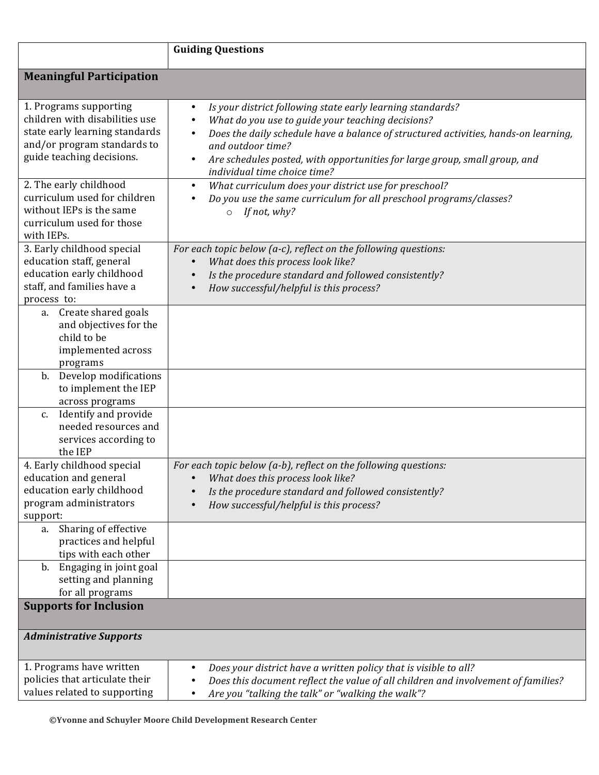|                                                                                                                                                        | <b>Guiding Questions</b>                                                                                                                                                                                                                                                                                                                                            |
|--------------------------------------------------------------------------------------------------------------------------------------------------------|---------------------------------------------------------------------------------------------------------------------------------------------------------------------------------------------------------------------------------------------------------------------------------------------------------------------------------------------------------------------|
| <b>Meaningful Participation</b>                                                                                                                        |                                                                                                                                                                                                                                                                                                                                                                     |
| 1. Programs supporting<br>children with disabilities use<br>state early learning standards<br>and/or program standards to<br>guide teaching decisions. | Is your district following state early learning standards?<br>$\bullet$<br>What do you use to guide your teaching decisions?<br>Does the daily schedule have a balance of structured activities, hands-on learning,<br>and outdoor time?<br>Are schedules posted, with opportunities for large group, small group, and<br>$\bullet$<br>individual time choice time? |
| 2. The early childhood<br>curriculum used for children<br>without IEPs is the same<br>curriculum used for those<br>with IEPs.                          | What curriculum does your district use for preschool?<br>$\bullet$<br>Do you use the same curriculum for all preschool programs/classes?<br>If not, why?<br>$\circ$                                                                                                                                                                                                 |
| 3. Early childhood special<br>education staff, general<br>education early childhood<br>staff, and families have a<br>process to:                       | For each topic below (a-c), reflect on the following questions:<br>What does this process look like?<br>Is the procedure standard and followed consistently?<br>How successful/helpful is this process?                                                                                                                                                             |
| Create shared goals<br>a.<br>and objectives for the<br>child to be<br>implemented across<br>programs                                                   |                                                                                                                                                                                                                                                                                                                                                                     |
| Develop modifications<br>b.<br>to implement the IEP<br>across programs                                                                                 |                                                                                                                                                                                                                                                                                                                                                                     |
| c. Identify and provide<br>needed resources and<br>services according to<br>the IEP                                                                    |                                                                                                                                                                                                                                                                                                                                                                     |
| 4. Early childhood special<br>education and general<br>education early childhood<br>program administrators<br>support:                                 | For each topic below (a-b), reflect on the following questions:<br>• What does this process look like?<br>Is the procedure standard and followed consistently?<br>How successful/helpful is this process?                                                                                                                                                           |
| Sharing of effective<br>a.<br>practices and helpful<br>tips with each other                                                                            |                                                                                                                                                                                                                                                                                                                                                                     |
| b. Engaging in joint goal<br>setting and planning<br>for all programs                                                                                  |                                                                                                                                                                                                                                                                                                                                                                     |
| <b>Supports for Inclusion</b>                                                                                                                          |                                                                                                                                                                                                                                                                                                                                                                     |
| <b>Administrative Supports</b>                                                                                                                         |                                                                                                                                                                                                                                                                                                                                                                     |
| 1. Programs have written<br>policies that articulate their<br>values related to supporting                                                             | Does your district have a written policy that is visible to all?<br>Does this document reflect the value of all children and involvement of families?<br>Are you "talking the talk" or "walking the walk"?                                                                                                                                                          |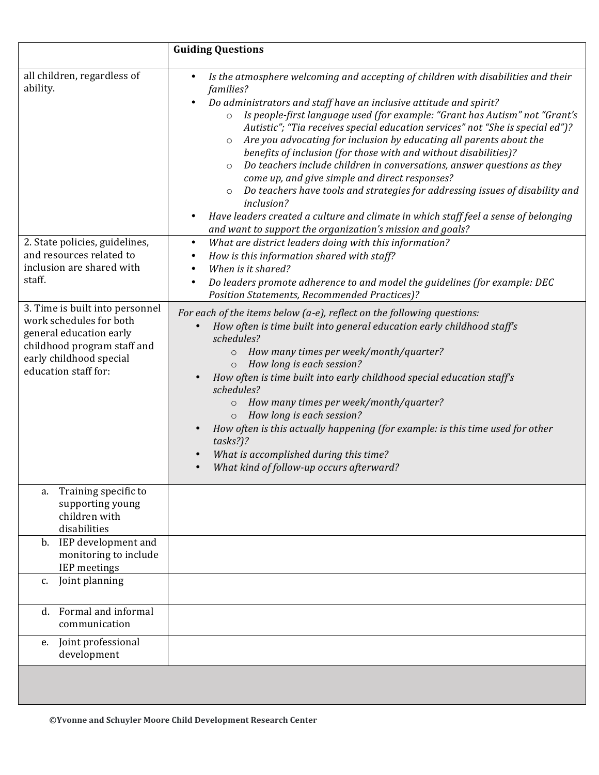|                                                                                                                                                                                                                                                                                                                         | <b>Guiding Questions</b>                                                                                                                                                                                                                                                                                                                                                                                                                                                                                                                                                                                                                                                                                                                                                                                                                                                                                                                                                                                                                                                                                                                                                                                                                                                                                                                                                                                                                                                                                                                                                                                                                                                                                                                                                                                                        |
|-------------------------------------------------------------------------------------------------------------------------------------------------------------------------------------------------------------------------------------------------------------------------------------------------------------------------|---------------------------------------------------------------------------------------------------------------------------------------------------------------------------------------------------------------------------------------------------------------------------------------------------------------------------------------------------------------------------------------------------------------------------------------------------------------------------------------------------------------------------------------------------------------------------------------------------------------------------------------------------------------------------------------------------------------------------------------------------------------------------------------------------------------------------------------------------------------------------------------------------------------------------------------------------------------------------------------------------------------------------------------------------------------------------------------------------------------------------------------------------------------------------------------------------------------------------------------------------------------------------------------------------------------------------------------------------------------------------------------------------------------------------------------------------------------------------------------------------------------------------------------------------------------------------------------------------------------------------------------------------------------------------------------------------------------------------------------------------------------------------------------------------------------------------------|
| all children, regardless of<br>ability.<br>2. State policies, guidelines,<br>and resources related to<br>inclusion are shared with<br>staff.<br>3. Time is built into personnel<br>work schedules for both<br>general education early<br>childhood program staff and<br>early childhood special<br>education staff for: | Is the atmosphere welcoming and accepting of children with disabilities and their<br>$\bullet$<br>families?<br>Do administrators and staff have an inclusive attitude and spirit?<br>Is people-first language used (for example: "Grant has Autism" not "Grant's<br>$\circ$<br>Autistic"; "Tia receives special education services" not "She is special ed")?<br>Are you advocating for inclusion by educating all parents about the<br>$\circ$<br>benefits of inclusion (for those with and without disabilities)?<br>Do teachers include children in conversations, answer questions as they<br>$\circ$<br>come up, and give simple and direct responses?<br>Do teachers have tools and strategies for addressing issues of disability and<br>$\circ$<br>inclusion?<br>Have leaders created a culture and climate in which staff feel a sense of belonging<br>and want to support the organization's mission and goals?<br>What are district leaders doing with this information?<br>$\bullet$<br>How is this information shared with staff?<br>When is it shared?<br>Do leaders promote adherence to and model the guidelines (for example: DEC<br>Position Statements, Recommended Practices)?<br>For each of the items below (a-e), reflect on the following questions:<br>How often is time built into general education early childhood staff's<br>schedules?<br>How many times per week/month/quarter?<br>$\circ$<br>How long is each session?<br>How often is time built into early childhood special education staff's<br>schedules?<br>How many times per week/month/quarter?<br>$\circ$<br>How long is each session?<br>$\circ$<br>How often is this actually happening (for example: is this time used for other<br>tasks?)?<br>What is accomplished during this time?<br>What kind of follow-up occurs afterward? |
| Training specific to<br>a.<br>supporting young<br>children with<br>disabilities<br>b. IEP development and<br>monitoring to include                                                                                                                                                                                      |                                                                                                                                                                                                                                                                                                                                                                                                                                                                                                                                                                                                                                                                                                                                                                                                                                                                                                                                                                                                                                                                                                                                                                                                                                                                                                                                                                                                                                                                                                                                                                                                                                                                                                                                                                                                                                 |
| <b>IEP</b> meetings<br>Joint planning<br>c.                                                                                                                                                                                                                                                                             |                                                                                                                                                                                                                                                                                                                                                                                                                                                                                                                                                                                                                                                                                                                                                                                                                                                                                                                                                                                                                                                                                                                                                                                                                                                                                                                                                                                                                                                                                                                                                                                                                                                                                                                                                                                                                                 |
| d. Formal and informal                                                                                                                                                                                                                                                                                                  |                                                                                                                                                                                                                                                                                                                                                                                                                                                                                                                                                                                                                                                                                                                                                                                                                                                                                                                                                                                                                                                                                                                                                                                                                                                                                                                                                                                                                                                                                                                                                                                                                                                                                                                                                                                                                                 |
| communication                                                                                                                                                                                                                                                                                                           |                                                                                                                                                                                                                                                                                                                                                                                                                                                                                                                                                                                                                                                                                                                                                                                                                                                                                                                                                                                                                                                                                                                                                                                                                                                                                                                                                                                                                                                                                                                                                                                                                                                                                                                                                                                                                                 |
| Joint professional<br>e.<br>development                                                                                                                                                                                                                                                                                 |                                                                                                                                                                                                                                                                                                                                                                                                                                                                                                                                                                                                                                                                                                                                                                                                                                                                                                                                                                                                                                                                                                                                                                                                                                                                                                                                                                                                                                                                                                                                                                                                                                                                                                                                                                                                                                 |
|                                                                                                                                                                                                                                                                                                                         |                                                                                                                                                                                                                                                                                                                                                                                                                                                                                                                                                                                                                                                                                                                                                                                                                                                                                                                                                                                                                                                                                                                                                                                                                                                                                                                                                                                                                                                                                                                                                                                                                                                                                                                                                                                                                                 |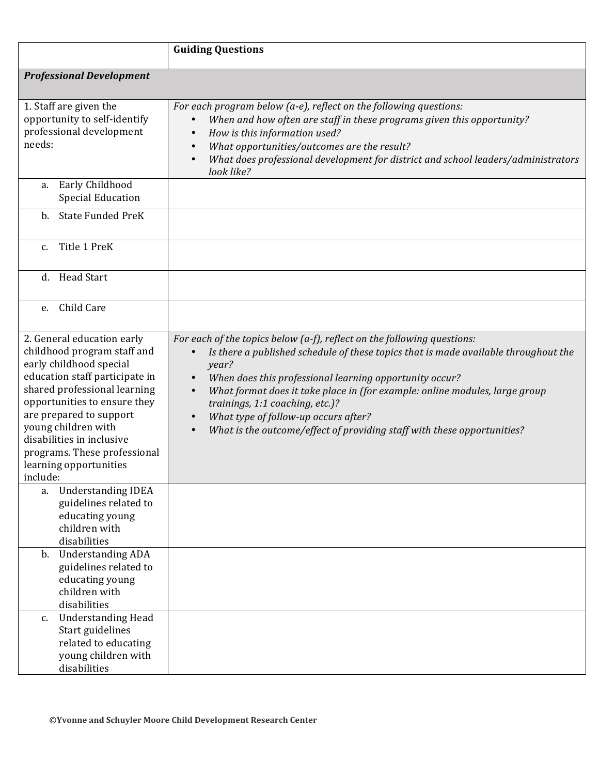|                                                                                                                                                                                                                                                                                                                                             | <b>Guiding Questions</b>                                                                                                                                                                                                                                                                                                                                                                                                                                                             |
|---------------------------------------------------------------------------------------------------------------------------------------------------------------------------------------------------------------------------------------------------------------------------------------------------------------------------------------------|--------------------------------------------------------------------------------------------------------------------------------------------------------------------------------------------------------------------------------------------------------------------------------------------------------------------------------------------------------------------------------------------------------------------------------------------------------------------------------------|
| <b>Professional Development</b>                                                                                                                                                                                                                                                                                                             |                                                                                                                                                                                                                                                                                                                                                                                                                                                                                      |
| 1. Staff are given the<br>opportunity to self-identify<br>professional development<br>needs:                                                                                                                                                                                                                                                | For each program below (a-e), reflect on the following questions:<br>When and how often are staff in these programs given this opportunity?<br>How is this information used?<br>What opportunities/outcomes are the result?<br>$\bullet$<br>What does professional development for district and school leaders/administrators<br>$\bullet$<br>look like?                                                                                                                             |
| Early Childhood<br>a.<br><b>Special Education</b>                                                                                                                                                                                                                                                                                           |                                                                                                                                                                                                                                                                                                                                                                                                                                                                                      |
| b. State Funded PreK                                                                                                                                                                                                                                                                                                                        |                                                                                                                                                                                                                                                                                                                                                                                                                                                                                      |
| Title 1 PreK<br>C <sub>1</sub>                                                                                                                                                                                                                                                                                                              |                                                                                                                                                                                                                                                                                                                                                                                                                                                                                      |
| <b>Head Start</b><br>d.                                                                                                                                                                                                                                                                                                                     |                                                                                                                                                                                                                                                                                                                                                                                                                                                                                      |
| Child Care<br>e.                                                                                                                                                                                                                                                                                                                            |                                                                                                                                                                                                                                                                                                                                                                                                                                                                                      |
| 2. General education early<br>childhood program staff and<br>early childhood special<br>education staff participate in<br>shared professional learning<br>opportunities to ensure they<br>are prepared to support<br>young children with<br>disabilities in inclusive<br>programs. These professional<br>learning opportunities<br>include: | For each of the topics below (a-f), reflect on the following questions:<br>Is there a published schedule of these topics that is made available throughout the<br>year?<br>When does this professional learning opportunity occur?<br>What format does it take place in (for example: online modules, large group<br>$\bullet$<br>trainings, 1:1 coaching, etc.)?<br>What type of follow-up occurs after?<br>What is the outcome/effect of providing staff with these opportunities? |
| <b>Understanding IDEA</b><br>a.<br>guidelines related to<br>educating young<br>children with<br>disabilities                                                                                                                                                                                                                                |                                                                                                                                                                                                                                                                                                                                                                                                                                                                                      |
| b. Understanding ADA<br>guidelines related to<br>educating young<br>children with<br>disabilities                                                                                                                                                                                                                                           |                                                                                                                                                                                                                                                                                                                                                                                                                                                                                      |
| <b>Understanding Head</b><br>$c_{\cdot}$<br>Start guidelines<br>related to educating<br>young children with<br>disabilities                                                                                                                                                                                                                 |                                                                                                                                                                                                                                                                                                                                                                                                                                                                                      |